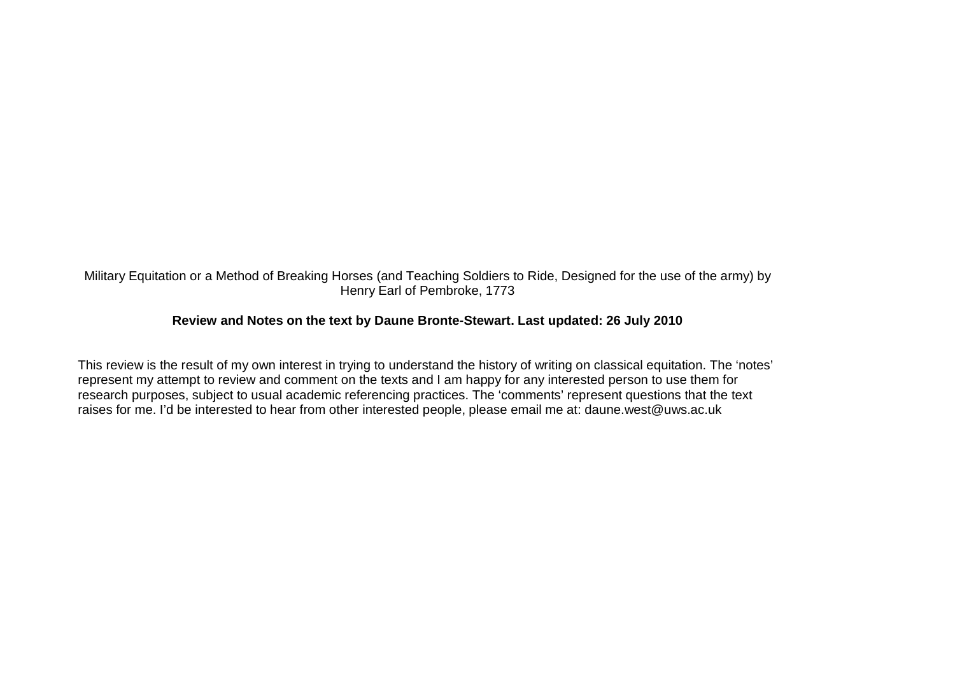## Military Equitation or a Method of Breaking Horses (and Teaching Soldiers to Ride, Designed for the use of the army) by Henry Earl of Pembroke, 1773

## **Review and Notes on the text by Daune Bronte-Stewart. Last updated: 26 July 2010**

This review is the result of my own interest in trying to understand the history of writing on classical equitation. The 'notes' represent my attempt to review and comment on the texts and I am happy for any interested person to use them for research purposes, subject to usual academic referencing practices. The 'comments' represent questions that the text raises for me. I'd be interested to hear from other interested people, please email me at: daune.west@uws.ac.uk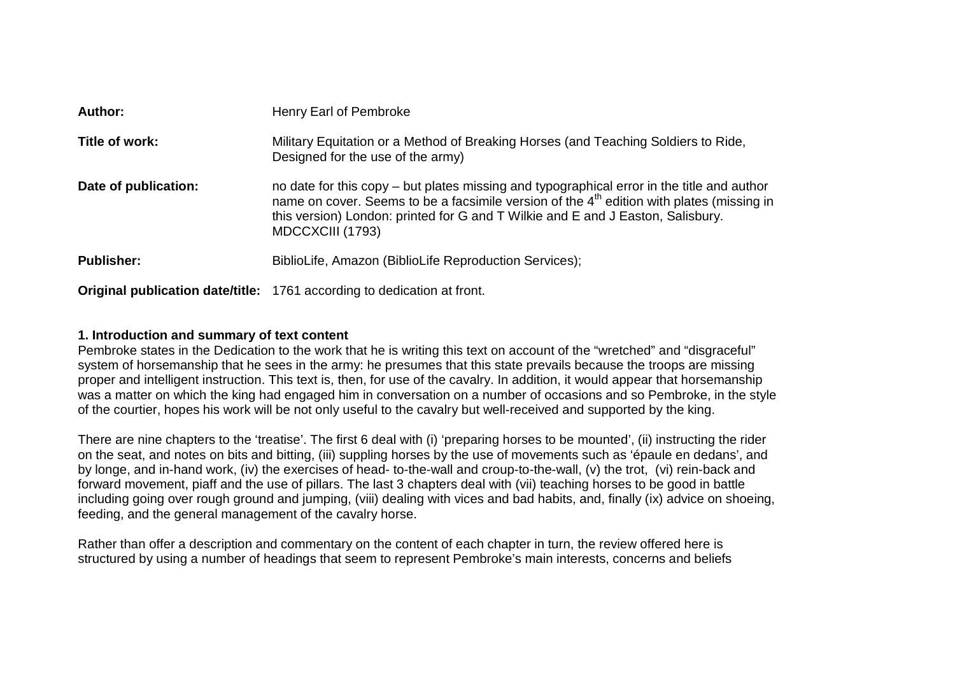| Author:              | Henry Earl of Pembroke                                                                                                                                                                                                                                                                                     |
|----------------------|------------------------------------------------------------------------------------------------------------------------------------------------------------------------------------------------------------------------------------------------------------------------------------------------------------|
| Title of work:       | Military Equitation or a Method of Breaking Horses (and Teaching Soldiers to Ride,<br>Designed for the use of the army)                                                                                                                                                                                    |
| Date of publication: | no date for this copy – but plates missing and typographical error in the title and author<br>name on cover. Seems to be a facsimile version of the 4 <sup>th</sup> edition with plates (missing in<br>this version) London: printed for G and T Wilkie and E and J Easton, Salisbury.<br>MDCCXCIII (1793) |
| <b>Publisher:</b>    | BiblioLife, Amazon (BiblioLife Reproduction Services);                                                                                                                                                                                                                                                     |
|                      | <b>Original publication date/title:</b> 1761 according to dedication at front.                                                                                                                                                                                                                             |

### **1. Introduction and summary of text content**

 Pembroke states in the Dedication to the work that he is writing this text on account of the "wretched" and "disgraceful" system of horsemanship that he sees in the army: he presumes that this state prevails because the troops are missing proper and intelligent instruction. This text is, then, for use of the cavalry. In addition, it would appear that horsemanship was a matter on which the king had engaged him in conversation on a number of occasions and so Pembroke, in the style of the courtier, hopes his work will be not only useful to the cavalry but well-received and supported by the king.

There are nine chapters to the 'treatise'. The first 6 deal with (i) 'preparing horses to be mounted', (ii) instructing the rider on the seat, and notes on bits and bitting, (iii) suppling horses by the use of movements such as 'épaule en dedans', and by longe, and in-hand work, (iv) the exercises of head- to-the-wall and croup-to-the-wall, (v) the trot, (vi) rein-back and forward movement, piaff and the use of pillars. The last 3 chapters deal with (vii) teaching horses to be good in battle including going over rough ground and jumping, (viii) dealing with vices and bad habits, and, finally (ix) advice on shoeing, feeding, and the general management of the cavalry horse.

Rather than offer a description and commentary on the content of each chapter in turn, the review offered here is structured by using a number of headings that seem to represent Pembroke's main interests, concerns and beliefs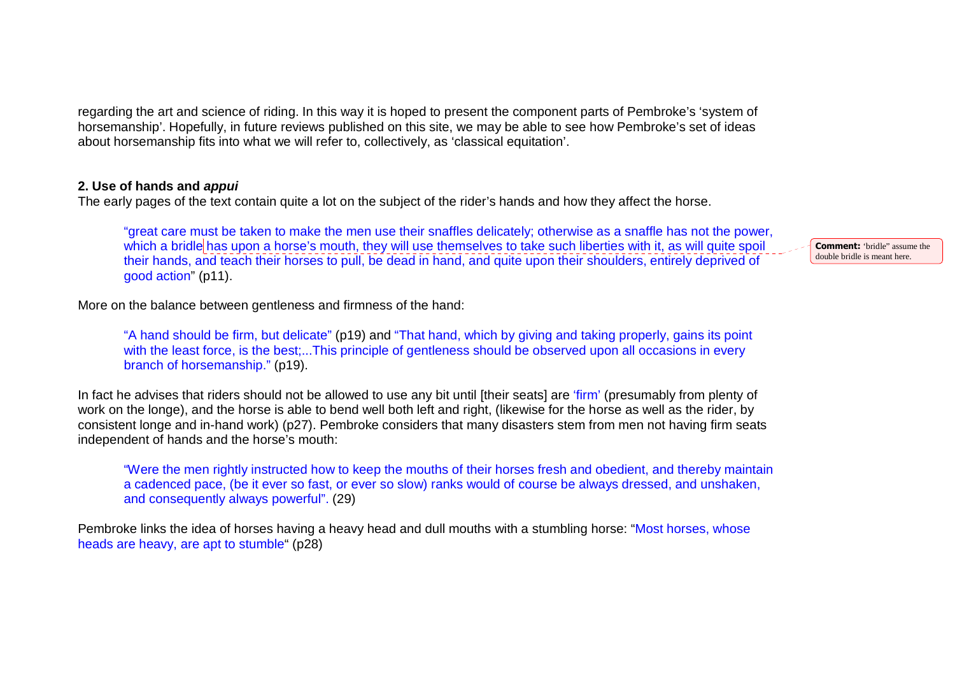regarding the art and science of riding. In this way it is hoped to present the component parts of Pembroke's 'system of horsemanship'. Hopefully, in future reviews published on this site, we may be able to see how Pembroke's set of ideas about horsemanship fits into what we will refer to, collectively, as 'classical equitation'.

### **2. Use of hands and appui**

The early pages of the text contain quite a lot on the subject of the rider's hands and how they affect the horse.

"great care must be taken to make the men use their snaffles delicately; otherwise as a snaffle has not the power, which a bridle has upon a horse's mouth, they will use themselves to take such liberties with it, as will quite spoil their hands, and teach their horses to pull, be dead in hand, and quite upon their shoulders, entirely deprived of good action" (p11).

More on the balance between gentleness and firmness of the hand:

"A hand should be firm, but delicate" (p19) and "That hand, which by giving and taking properly, gains its point with the least force, is the best;...This principle of gentleness should be observed upon all occasions in every branch of horsemanship." (p19).

In fact he advises that riders should not be allowed to use any bit until [their seats] are 'firm' (presumably from plenty of work on the longe), and the horse is able to bend well both left and right, (likewise for the horse as well as the rider, by consistent longe and in-hand work) (p27). Pembroke considers that many disasters stem from men not having firm seats independent of hands and the horse's mouth:

"Were the men rightly instructed how to keep the mouths of their horses fresh and obedient, and thereby maintain a cadenced pace, (be it ever so fast, or ever so slow) ranks would of course be always dressed, and unshaken, and consequently always powerful". (29)

Pembroke links the idea of horses having a heavy head and dull mouths with a stumbling horse: "Most horses, whose heads are heavy, are apt to stumble" (p28)

**Comment:** 'bridle" assume the double bridle is meant here.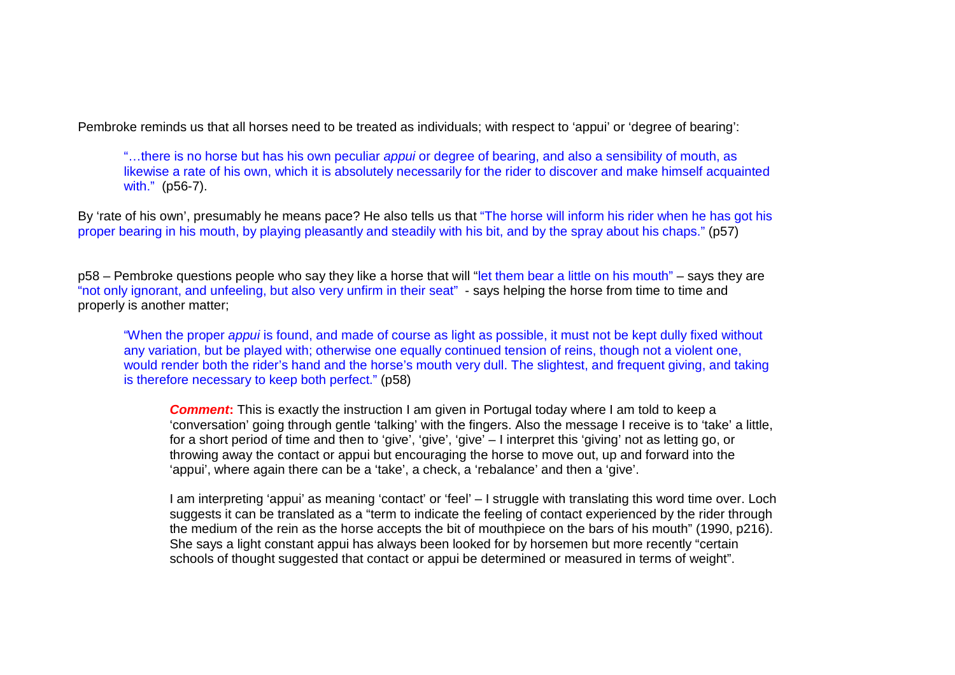Pembroke reminds us that all horses need to be treated as individuals; with respect to 'appui' or 'degree of bearing':

"...there is no horse but has his own peculiar *appui* or degree of bearing, and also a sensibility of mouth, as likewise a rate of his own, which it is absolutely necessarily for the rider to discover and make himself acquainted with." (p56-7).

By 'rate of his own', presumably he means pace? He also tells us that "The horse will inform his rider when he has got his proper bearing in his mouth, by playing pleasantly and steadily with his bit, and by the spray about his chaps." (p57)

p58 – Pembroke questions people who say they like a horse that will "let them bear a little on his mouth" – says they are "not only ignorant, and unfeeling, but also very unfirm in their seat" - says helping the horse from time to time and properly is another matter;

"When the proper appui is found, and made of course as light as possible, it must not be kept dully fixed without any variation, but be played with; otherwise one equally continued tension of reins, though not a violent one, would render both the rider's hand and the horse's mouth very dull. The slightest, and frequent giving, and taking is therefore necessary to keep both perfect." (p58)

**Comment:** This is exactly the instruction I am given in Portugal today where I am told to keep a 'conversation' going through gentle 'talking' with the fingers. Also the message I receive is to 'take' a little, for a short period of time and then to 'give', 'give', 'give' – I interpret this 'giving' not as letting go, or throwing away the contact or appui but encouraging the horse to move out, up and forward into the 'appui', where again there can be a 'take', a check, a 'rebalance' and then a 'give'.

I am interpreting 'appui' as meaning 'contact' or 'feel' – I struggle with translating this word time over. Loch suggests it can be translated as a "term to indicate the feeling of contact experienced by the rider through the medium of the rein as the horse accepts the bit of mouthpiece on the bars of his mouth" (1990, p216). She says a light constant appui has always been looked for by horsemen but more recently "certain schools of thought suggested that contact or appui be determined or measured in terms of weight".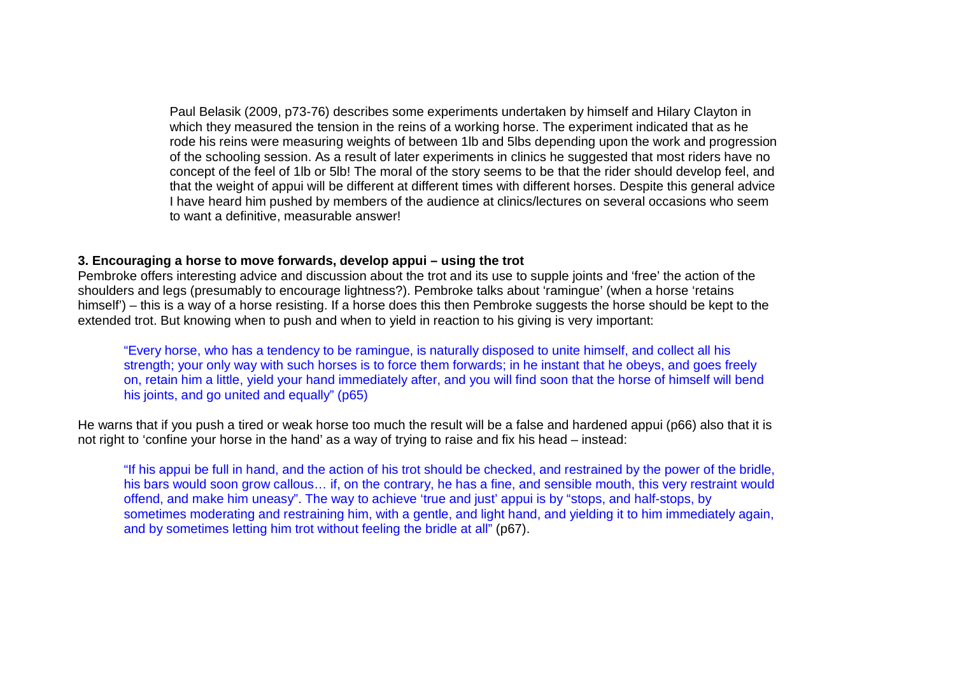Paul Belasik (2009, p73-76) describes some experiments undertaken by himself and Hilary Clayton in which they measured the tension in the reins of a working horse. The experiment indicated that as he rode his reins were measuring weights of between 1lb and 5lbs depending upon the work and progression of the schooling session. As a result of later experiments in clinics he suggested that most riders have no concept of the feel of 1lb or 5lb! The moral of the story seems to be that the rider should develop feel, and that the weight of appui will be different at different times with different horses. Despite this general advice I have heard him pushed by members of the audience at clinics/lectures on several occasions who seem to want a definitive, measurable answer!

### **3. Encouraging a horse to move forwards, develop appui – using the trot**

 Pembroke offers interesting advice and discussion about the trot and its use to supple joints and 'free' the action of the shoulders and legs (presumably to encourage lightness?). Pembroke talks about 'ramingue' (when a horse 'retains himself') – this is a way of a horse resisting. If a horse does this then Pembroke suggests the horse should be kept to the extended trot. But knowing when to push and when to yield in reaction to his giving is very important:

"Every horse, who has a tendency to be ramingue, is naturally disposed to unite himself, and collect all his strength; your only way with such horses is to force them forwards; in he instant that he obeys, and goes freely on, retain him a little, yield your hand immediately after, and you will find soon that the horse of himself will bend his joints, and go united and equally" (p65)

He warns that if you push a tired or weak horse too much the result will be a false and hardened appui (p66) also that it is not right to 'confine your horse in the hand' as a way of trying to raise and fix his head – instead:

"If his appui be full in hand, and the action of his trot should be checked, and restrained by the power of the bridle, his bars would soon grow callous… if, on the contrary, he has a fine, and sensible mouth, this very restraint would offend, and make him uneasy". The way to achieve 'true and just' appui is by "stops, and half-stops, by sometimes moderating and restraining him, with a gentle, and light hand, and yielding it to him immediately again, and by sometimes letting him trot without feeling the bridle at all" (p67).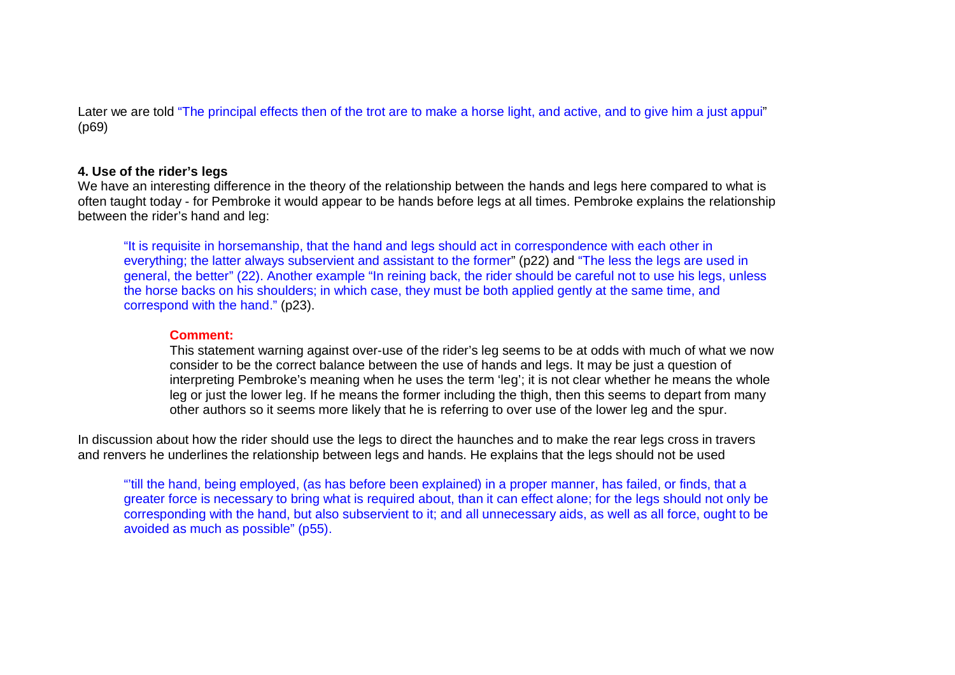Later we are told "The principal effects then of the trot are to make a horse light, and active, and to give him a just appui" (p69)

### **4. Use of the rider's legs**

 We have an interesting difference in the theory of the relationship between the hands and legs here compared to what is often taught today - for Pembroke it would appear to be hands before legs at all times. Pembroke explains the relationship between the rider's hand and leg:

"It is requisite in horsemanship, that the hand and legs should act in correspondence with each other in everything; the latter always subservient and assistant to the former" (p22) and "The less the legs are used in general, the better" (22). Another example "In reining back, the rider should be careful not to use his legs, unless the horse backs on his shoulders; in which case, they must be both applied gently at the same time, and correspond with the hand." (p23).

#### **Comment:**

 This statement warning against over-use of the rider's leg seems to be at odds with much of what we now consider to be the correct balance between the use of hands and legs. It may be just a question of interpreting Pembroke's meaning when he uses the term 'leg'; it is not clear whether he means the whole leg or just the lower leg. If he means the former including the thigh, then this seems to depart from many other authors so it seems more likely that he is referring to over use of the lower leg and the spur.

In discussion about how the rider should use the legs to direct the haunches and to make the rear legs cross in travers and renvers he underlines the relationship between legs and hands. He explains that the legs should not be used

"'till the hand, being employed, (as has before been explained) in a proper manner, has failed, or finds, that a greater force is necessary to bring what is required about, than it can effect alone; for the legs should not only be corresponding with the hand, but also subservient to it; and all unnecessary aids, as well as all force, ought to be avoided as much as possible" (p55).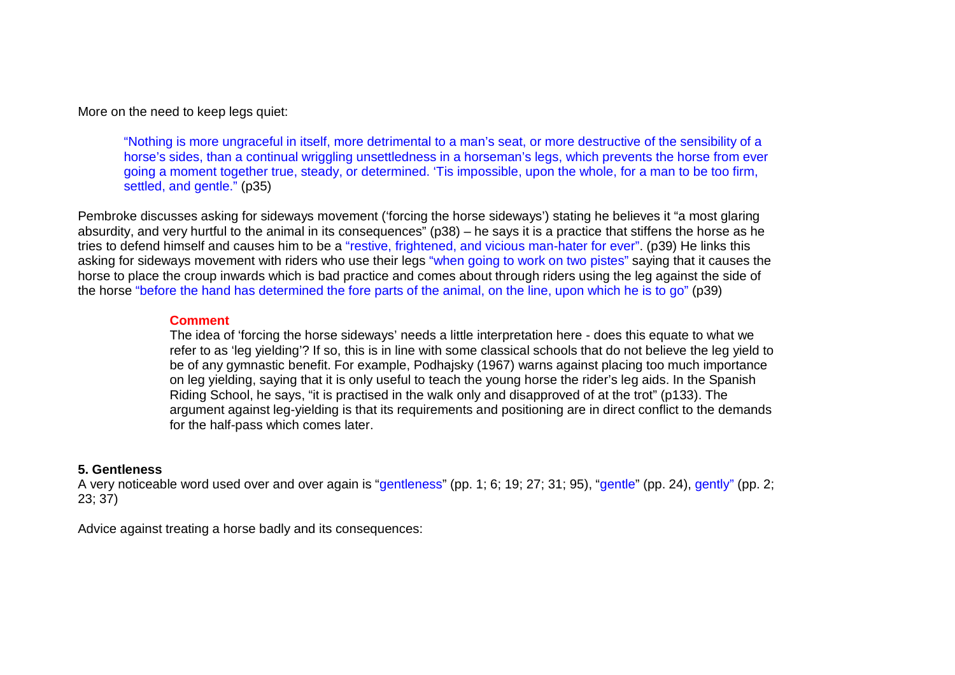More on the need to keep legs quiet:

"Nothing is more ungraceful in itself, more detrimental to a man's seat, or more destructive of the sensibility of a horse's sides, than a continual wriggling unsettledness in a horseman's legs, which prevents the horse from ever going a moment together true, steady, or determined. 'Tis impossible, upon the whole, for a man to be too firm, settled, and gentle." (p35)

Pembroke discusses asking for sideways movement ('forcing the horse sideways') stating he believes it "a most glaring absurdity, and very hurtful to the animal in its consequences" (p38) – he says it is a practice that stiffens the horse as he tries to defend himself and causes him to be a "restive, frightened, and vicious man-hater for ever". (p39) He links this asking for sideways movement with riders who use their legs "when going to work on two pistes" saying that it causes the horse to place the croup inwards which is bad practice and comes about through riders using the leg against the side of the horse "before the hand has determined the fore parts of the animal, on the line, upon which he is to go" (p39)

#### **Comment**

 The idea of 'forcing the horse sideways' needs a little interpretation here - does this equate to what we refer to as 'leg yielding'? If so, this is in line with some classical schools that do not believe the leg yield to be of any gymnastic benefit. For example, Podhajsky (1967) warns against placing too much importance on leg yielding, saying that it is only useful to teach the young horse the rider's leg aids. In the Spanish Riding School, he says, "it is practised in the walk only and disapproved of at the trot" (p133). The argument against leg-yielding is that its requirements and positioning are in direct conflict to the demands for the half-pass which comes later.

#### **5. Gentleness**

A very noticeable word used over and over again is "gentleness" (pp. 1; 6; 19; 27; 31; 95), "gentle" (pp. 24), gently" (pp. 2; 23; 37)

Advice against treating a horse badly and its consequences: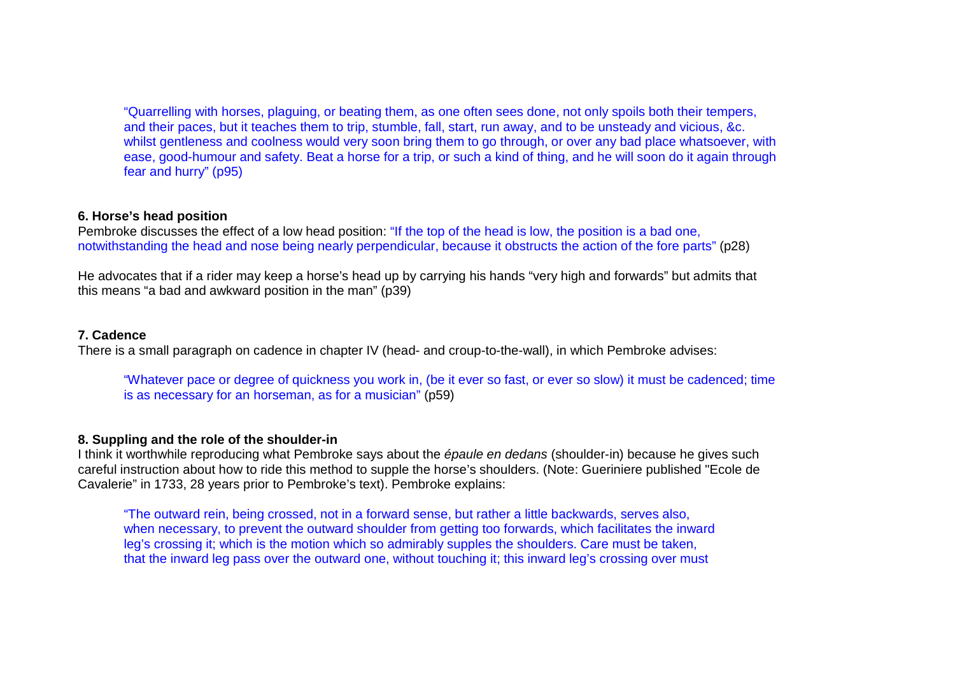"Quarrelling with horses, plaguing, or beating them, as one often sees done, not only spoils both their tempers, and their paces, but it teaches them to trip, stumble, fall, start, run away, and to be unsteady and vicious, &c. whilst gentleness and coolness would very soon bring them to go through, or over any bad place whatsoever, with ease, good-humour and safety. Beat a horse for a trip, or such a kind of thing, and he will soon do it again through fear and hurry" (p95)

### **6. Horse's head position**

Pembroke discusses the effect of a low head position: "If the top of the head is low, the position is a bad one, notwithstanding the head and nose being nearly perpendicular, because it obstructs the action of the fore parts" (p28)

He advocates that if a rider may keep a horse's head up by carrying his hands "very high and forwards" but admits that this means "a bad and awkward position in the man" (p39)

### **7. Cadence**

There is a small paragraph on cadence in chapter IV (head- and croup-to-the-wall), in which Pembroke advises:

"Whatever pace or degree of quickness you work in, (be it ever so fast, or ever so slow) it must be cadenced; time is as necessary for an horseman, as for a musician" (p59)

### **8. Suppling and the role of the shoulder-in**

I think it worthwhile reproducing what Pembroke says about the *épaule en dedans* (shoulder-in) because he gives such careful instruction about how to ride this method to supple the horse's shoulders. (Note: Gueriniere published "Ecole de Cavalerie" in 1733, 28 years prior to Pembroke's text). Pembroke explains:

"The outward rein, being crossed, not in a forward sense, but rather a little backwards, serves also, when necessary, to prevent the outward shoulder from getting too forwards, which facilitates the inward leg's crossing it; which is the motion which so admirably supples the shoulders. Care must be taken, that the inward leg pass over the outward one, without touching it; this inward leg's crossing over must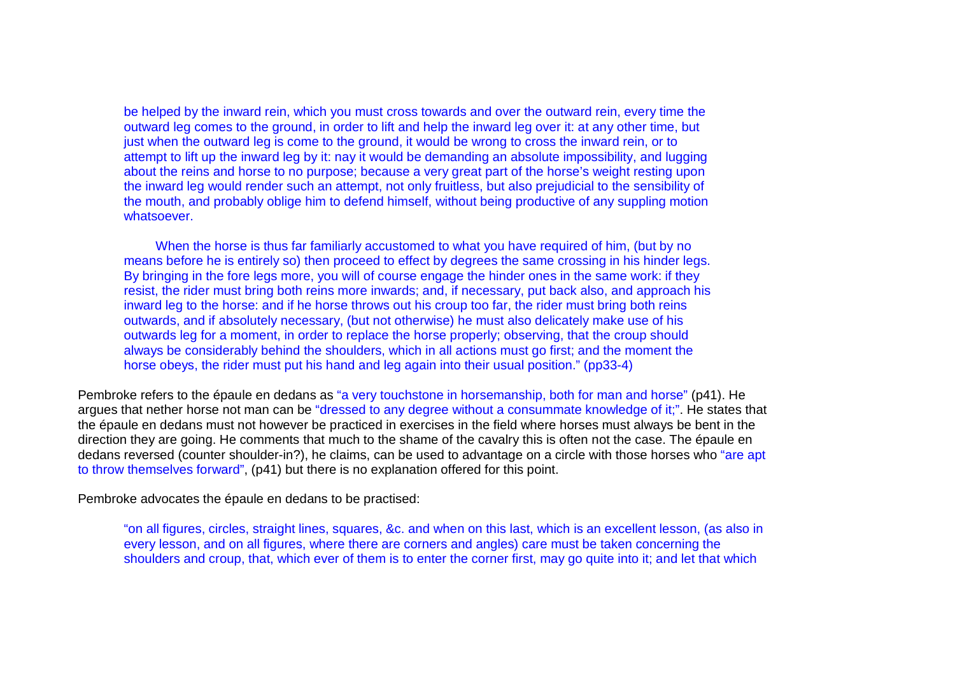be helped by the inward rein, which you must cross towards and over the outward rein, every time the outward leg comes to the ground, in order to lift and help the inward leg over it: at any other time, but just when the outward leg is come to the ground, it would be wrong to cross the inward rein, or to attempt to lift up the inward leg by it: nay it would be demanding an absolute impossibility, and lugging about the reins and horse to no purpose; because a very great part of the horse's weight resting upon the inward leg would render such an attempt, not only fruitless, but also prejudicial to the sensibility of the mouth, and probably oblige him to defend himself, without being productive of any suppling motion whatsoever.

When the horse is thus far familiarly accustomed to what you have required of him, (but by no means before he is entirely so) then proceed to effect by degrees the same crossing in his hinder legs. By bringing in the fore legs more, you will of course engage the hinder ones in the same work: if they resist, the rider must bring both reins more inwards; and, if necessary, put back also, and approach his inward leg to the horse: and if he horse throws out his croup too far, the rider must bring both reins outwards, and if absolutely necessary, (but not otherwise) he must also delicately make use of his outwards leg for a moment, in order to replace the horse properly; observing, that the croup should always be considerably behind the shoulders, which in all actions must go first; and the moment the horse obeys, the rider must put his hand and leg again into their usual position." (pp33-4)

Pembroke refers to the épaule en dedans as "a very touchstone in horsemanship, both for man and horse" (p41). He argues that nether horse not man can be "dressed to any degree without a consummate knowledge of it;". He states that the épaule en dedans must not however be practiced in exercises in the field where horses must always be bent in the direction they are going. He comments that much to the shame of the cavalry this is often not the case. The épaule en dedans reversed (counter shoulder-in?), he claims, can be used to advantage on a circle with those horses who "are apt to throw themselves forward", (p41) but there is no explanation offered for this point.

Pembroke advocates the épaule en dedans to be practised:

"on all figures, circles, straight lines, squares, &c. and when on this last, which is an excellent lesson, (as also in every lesson, and on all figures, where there are corners and angles) care must be taken concerning the shoulders and croup, that, which ever of them is to enter the corner first, may go quite into it; and let that which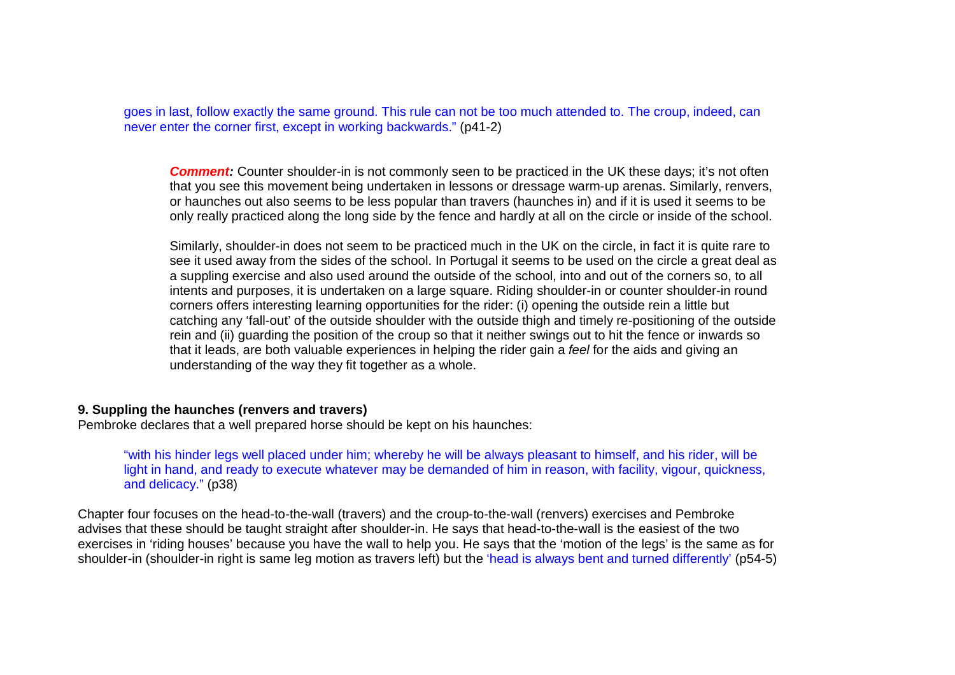goes in last, follow exactly the same ground. This rule can not be too much attended to. The croup, indeed, can never enter the corner first, except in working backwards." (p41-2)

**Comment:** Counter shoulder-in is not commonly seen to be practiced in the UK these days; it's not often that you see this movement being undertaken in lessons or dressage warm-up arenas. Similarly, renvers,or haunches out also seems to be less popular than travers (haunches in) and if it is used it seems to be only really practiced along the long side by the fence and hardly at all on the circle or inside of the school.

Similarly, shoulder-in does not seem to be practiced much in the UK on the circle, in fact it is quite rare to see it used away from the sides of the school. In Portugal it seems to be used on the circle a great deal as a suppling exercise and also used around the outside of the school, into and out of the corners so, to all intents and purposes, it is undertaken on a large square. Riding shoulder-in or counter shoulder-in round corners offers interesting learning opportunities for the rider: (i) opening the outside rein a little but catching any 'fall-out' of the outside shoulder with the outside thigh and timely re-positioning of the outside rein and (ii) guarding the position of the croup so that it neither swings out to hit the fence or inwards so that it leads, are both valuable experiences in helping the rider gain a feel for the aids and giving an understanding of the way they fit together as a whole.

#### **9. Suppling the haunches (renvers and travers)**

Pembroke declares that a well prepared horse should be kept on his haunches:

"with his hinder legs well placed under him; whereby he will be always pleasant to himself, and his rider, will be light in hand, and ready to execute whatever may be demanded of him in reason, with facility, vigour, quickness, and delicacy." (p38)

Chapter four focuses on the head-to-the-wall (travers) and the croup-to-the-wall (renvers) exercises and Pembroke advises that these should be taught straight after shoulder-in. He says that head-to-the-wall is the easiest of the two exercises in 'riding houses' because you have the wall to help you. He says that the 'motion of the legs' is the same as for shoulder-in (shoulder-in right is same leg motion as travers left) but the 'head is always bent and turned differently' (p54-5)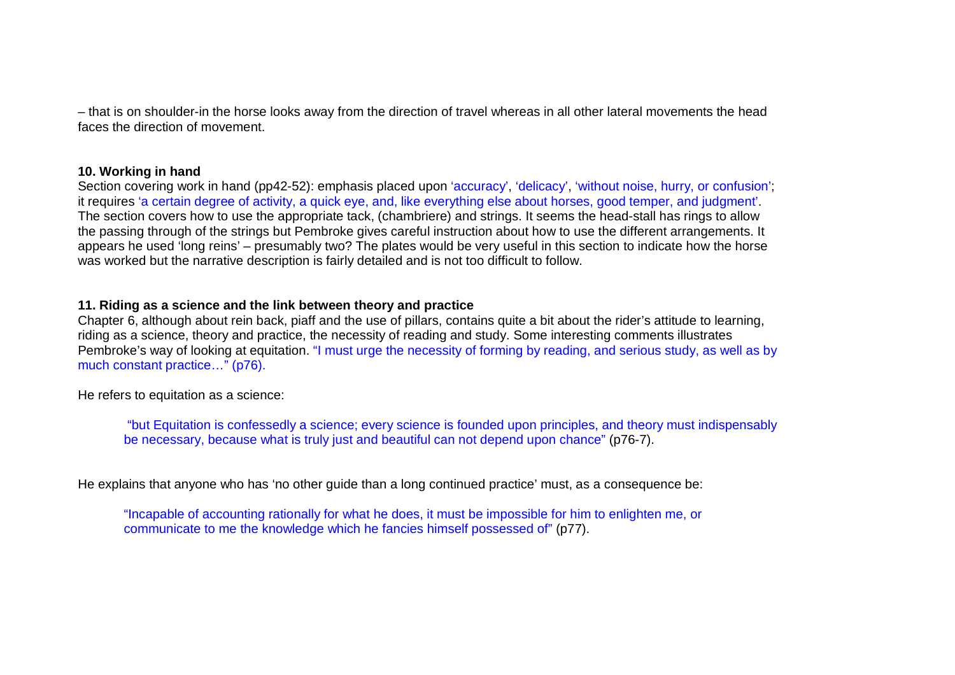– that is on shoulder-in the horse looks away from the direction of travel whereas in all other lateral movements the head faces the direction of movement.

## **10. Working in hand**

Section covering work in hand (pp42-52): emphasis placed upon 'accuracy', 'delicacy', 'without noise, hurry, or confusion'; it requires 'a certain degree of activity, a quick eye, and, like everything else about horses, good temper, and judgment'. The section covers how to use the appropriate tack, (chambriere) and strings. It seems the head-stall has rings to allow the passing through of the strings but Pembroke gives careful instruction about how to use the different arrangements. It appears he used 'long reins' – presumably two? The plates would be very useful in this section to indicate how the horse was worked but the narrative description is fairly detailed and is not too difficult to follow.

## **11. Riding as a science and the link between theory and practice**

 Chapter 6, although about rein back, piaff and the use of pillars, contains quite a bit about the rider's attitude to learning, riding as a science, theory and practice, the necessity of reading and study. Some interesting comments illustrates Pembroke's way of looking at equitation. "I must urge the necessity of forming by reading, and serious study, as well as by much constant practice…" (p76).

He refers to equitation as a science:

"but Equitation is confessedly a science; every science is founded upon principles, and theory must indispensably be necessary, because what is truly just and beautiful can not depend upon chance" (p76-7).

He explains that anyone who has 'no other guide than a long continued practice' must, as a consequence be:

"Incapable of accounting rationally for what he does, it must be impossible for him to enlighten me, or communicate to me the knowledge which he fancies himself possessed of" (p77).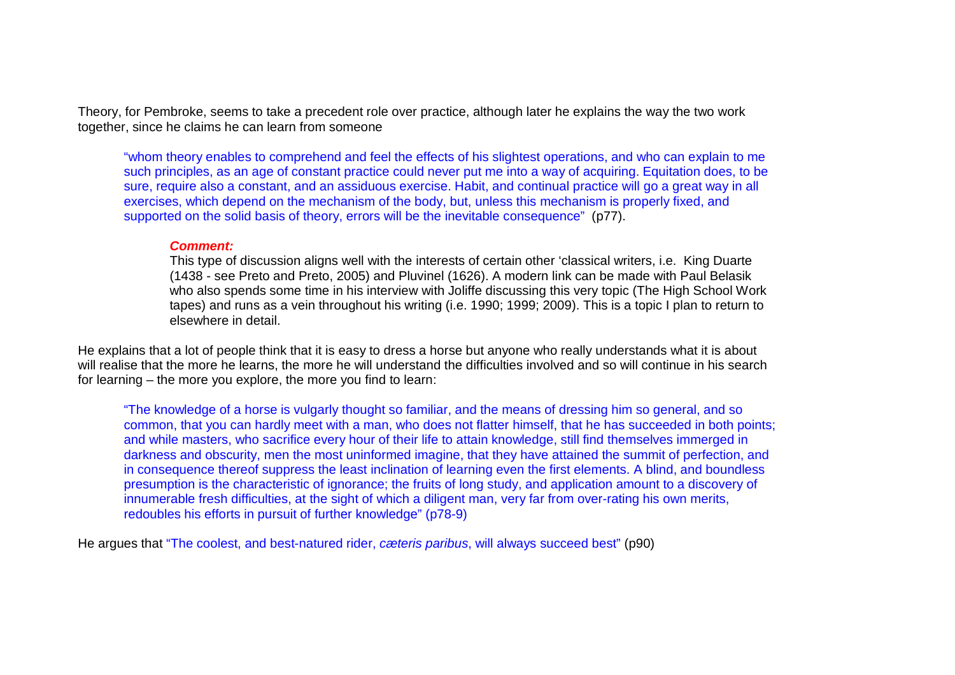Theory, for Pembroke, seems to take a precedent role over practice, although later he explains the way the two work together, since he claims he can learn from someone

"whom theory enables to comprehend and feel the effects of his slightest operations, and who can explain to me such principles, as an age of constant practice could never put me into a way of acquiring. Equitation does, to be sure, require also a constant, and an assiduous exercise. Habit, and continual practice will go a great way in all exercises, which depend on the mechanism of the body, but, unless this mechanism is properly fixed, and supported on the solid basis of theory, errors will be the inevitable consequence" (p77).

#### **Comment:**

 This type of discussion aligns well with the interests of certain other 'classical writers, i.e. King Duarte (1438 - see Preto and Preto, 2005) and Pluvinel (1626). A modern link can be made with Paul Belasik who also spends some time in his interview with Joliffe discussing this very topic (The High School Work tapes) and runs as a vein throughout his writing (i.e. 1990; 1999; 2009). This is a topic I plan to return to elsewhere in detail.

He explains that a lot of people think that it is easy to dress a horse but anyone who really understands what it is about will realise that the more he learns, the more he will understand the difficulties involved and so will continue in his search for learning – the more you explore, the more you find to learn:

"The knowledge of a horse is vulgarly thought so familiar, and the means of dressing him so general, and so common, that you can hardly meet with a man, who does not flatter himself, that he has succeeded in both points; and while masters, who sacrifice every hour of their life to attain knowledge, still find themselves immerged in darkness and obscurity, men the most uninformed imagine, that they have attained the summit of perfection, and in consequence thereof suppress the least inclination of learning even the first elements. A blind, and boundless presumption is the characteristic of ignorance; the fruits of long study, and application amount to a discovery of innumerable fresh difficulties, at the sight of which a diligent man, very far from over-rating his own merits, redoubles his efforts in pursuit of further knowledge" (p78-9)

He argues that "The coolest, and best-natured rider, cæteris paribus, will always succeed best" (p90)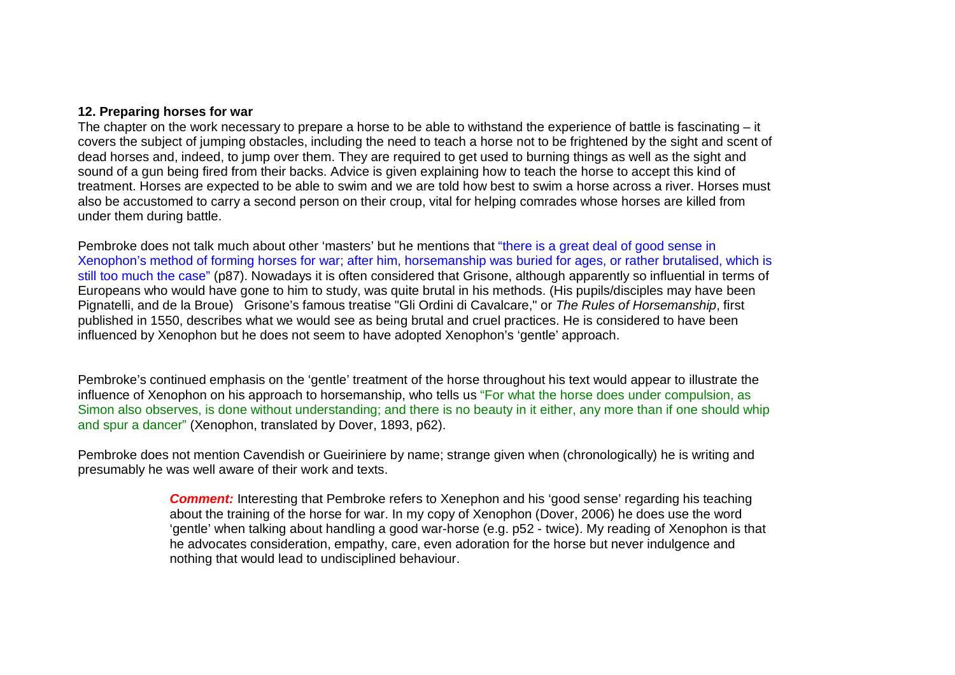#### **12. Preparing horses for war**

 The chapter on the work necessary to prepare a horse to be able to withstand the experience of battle is fascinating – it covers the subject of jumping obstacles, including the need to teach a horse not to be frightened by the sight and scent of dead horses and, indeed, to jump over them. They are required to get used to burning things as well as the sight and sound of a gun being fired from their backs. Advice is given explaining how to teach the horse to accept this kind of treatment. Horses are expected to be able to swim and we are told how best to swim a horse across a river. Horses must also be accustomed to carry a second person on their croup, vital for helping comrades whose horses are killed from under them during battle.

Pembroke does not talk much about other 'masters' but he mentions that "there is a great deal of good sense in Xenophon's method of forming horses for war; after him, horsemanship was buried for ages, or rather brutalised, which is still too much the case" (p87). Nowadays it is often considered that Grisone, although apparently so influential in terms of Europeans who would have gone to him to study, was quite brutal in his methods. (His pupils/disciples may have been Pignatelli, and de la Broue) Grisone's famous treatise "Gli Ordini di Cavalcare," or The Rules of Horsemanship, first published in 1550, describes what we would see as being brutal and cruel practices. He is considered to have been influenced by Xenophon but he does not seem to have adopted Xenophon's 'gentle' approach.

Pembroke's continued emphasis on the 'gentle' treatment of the horse throughout his text would appear to illustrate the influence of Xenophon on his approach to horsemanship, who tells us "For what the horse does under compulsion, as Simon also observes, is done without understanding; and there is no beauty in it either, any more than if one should whip and spur a dancer" (Xenophon, translated by Dover, 1893, p62).

Pembroke does not mention Cavendish or Gueiriniere by name; strange given when (chronologically) he is writing and presumably he was well aware of their work and texts.

> **Comment:** Interesting that Pembroke refers to Xenephon and his 'good sense' regarding his teaching about the training of the horse for war. In my copy of Xenophon (Dover, 2006) he does use the word 'gentle' when talking about handling a good war-horse (e.g. p52 - twice). My reading of Xenophon is that he advocates consideration, empathy, care, even adoration for the horse but never indulgence and nothing that would lead to undisciplined behaviour.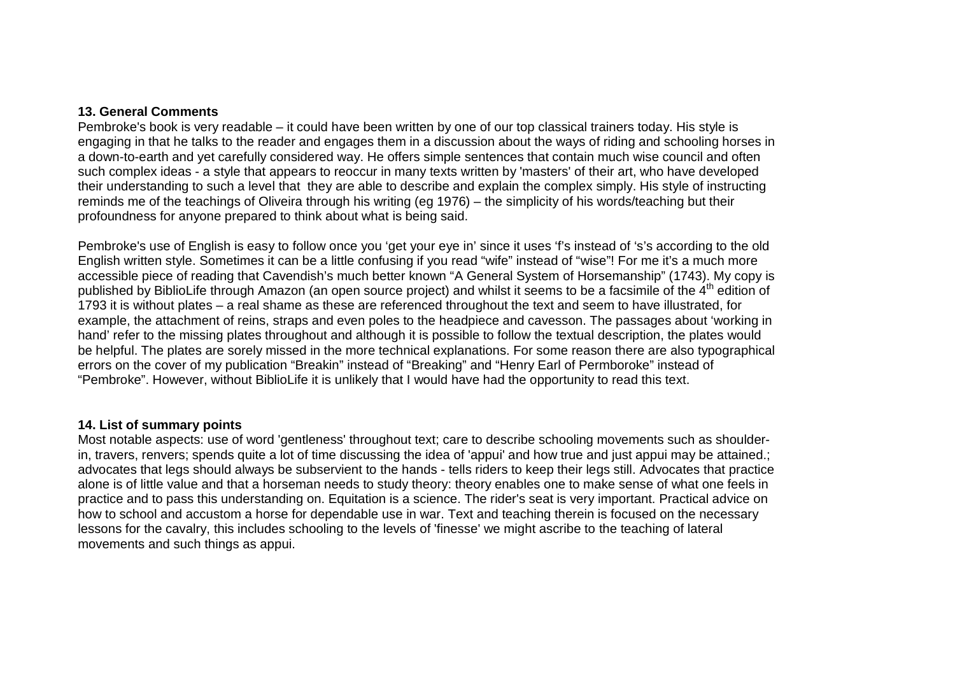#### **13. General Comments**

 Pembroke's book is very readable – it could have been written by one of our top classical trainers today. His style is engaging in that he talks to the reader and engages them in a discussion about the ways of riding and schooling horses in a down-to-earth and yet carefully considered way. He offers simple sentences that contain much wise council and often such complex ideas - a style that appears to reoccur in many texts written by 'masters' of their art, who have developed their understanding to such a level that they are able to describe and explain the complex simply. His style of instructing reminds me of the teachings of Oliveira through his writing (eg 1976) – the simplicity of his words/teaching but their profoundness for anyone prepared to think about what is being said.

Pembroke's use of English is easy to follow once you 'get your eye in' since it uses 'f's instead of 's's according to the old English written style. Sometimes it can be a little confusing if you read "wife" instead of "wise"! For me it's a much more accessible piece of reading that Cavendish's much better known "A General System of Horsemanship" (1743). My copy is published by BiblioLife through Amazon (an open source project) and whilst it seems to be a facsimile of the 4<sup>th</sup> edition of 1793 it is without plates – a real shame as these are referenced throughout the text and seem to have illustrated, for example, the attachment of reins, straps and even poles to the headpiece and cavesson. The passages about 'working in hand' refer to the missing plates throughout and although it is possible to follow the textual description, the plates would be helpful. The plates are sorely missed in the more technical explanations. For some reason there are also typographical errors on the cover of my publication "Breakin" instead of "Breaking" and "Henry Earl of Permboroke" instead of "Pembroke". However, without BiblioLife it is unlikely that I would have had the opportunity to read this text.

### **14. List of summary points**

 Most notable aspects: use of word 'gentleness' throughout text; care to describe schooling movements such as shoulderin, travers, renvers; spends quite a lot of time discussing the idea of 'appui' and how true and just appui may be attained.; advocates that legs should always be subservient to the hands - tells riders to keep their legs still. Advocates that practice alone is of little value and that a horseman needs to study theory: theory enables one to make sense of what one feels in practice and to pass this understanding on. Equitation is a science. The rider's seat is very important. Practical advice on how to school and accustom a horse for dependable use in war. Text and teaching therein is focused on the necessary lessons for the cavalry, this includes schooling to the levels of 'finesse' we might ascribe to the teaching of lateral movements and such things as appui.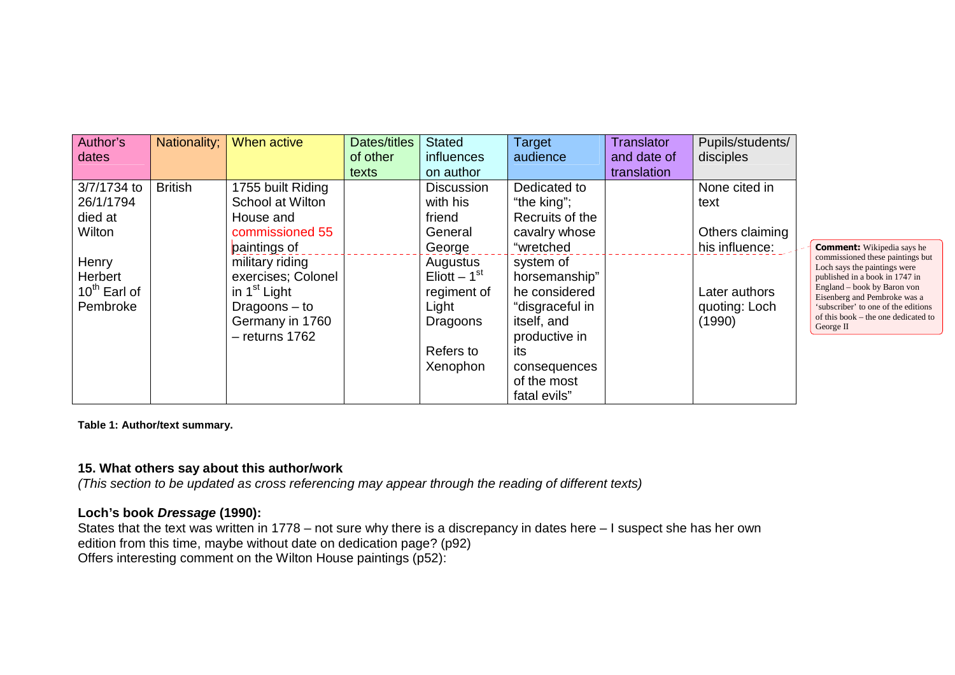| Author's                 | Nationality;   | When active              | Dates/titles | <b>Stated</b>     | <b>Target</b>   | Translator  | Pupils/students/ |                                                                  |
|--------------------------|----------------|--------------------------|--------------|-------------------|-----------------|-------------|------------------|------------------------------------------------------------------|
| dates                    |                |                          | of other     | <i>influences</i> | audience        | and date of | disciples        |                                                                  |
|                          |                |                          | texts        | on author         |                 | translation |                  |                                                                  |
| 3/7/1734 to              | <b>British</b> | 1755 built Riding        |              | <b>Discussion</b> | Dedicated to    |             | None cited in    |                                                                  |
| 26/1/1794                |                | School at Wilton         |              | with his          | "the king";     |             | text             |                                                                  |
| died at                  |                | House and                |              | friend            | Recruits of the |             |                  |                                                                  |
| Wilton                   |                | commissioned 55          |              | General           | cavalry whose   |             | Others claiming  |                                                                  |
|                          |                | paintings of             |              | George            | "wretched       |             | his influence:   | <b>Comment:</b> Wikipedia says he                                |
| Henry                    |                | military riding          |              | Augustus          | system of       |             |                  | commissioned these paintings but<br>Loch says the paintings were |
| Herbert                  |                | exercises; Colonel       |              | Eliott $-1st$     | horsemanship"   |             |                  | published in a book in 1747 in                                   |
| 10 <sup>th</sup> Earl of |                | in 1 <sup>st</sup> Light |              | regiment of       | he considered   |             | Later authors    | England – book by Baron von<br>Eisenberg and Pembroke was a      |
| Pembroke                 |                | Dragoons $-$ to          |              | Light             | "disgraceful in |             | quoting: Loch    | 'subscriber' to one of the editions                              |
|                          |                | Germany in 1760          |              | Dragoons          | itself, and     |             | (1990)           | of this book – the one dedicated to<br>George II                 |
|                          |                | $-$ returns 1762         |              |                   | productive in   |             |                  |                                                                  |
|                          |                |                          |              | Refers to         | its             |             |                  |                                                                  |
|                          |                |                          |              | Xenophon          | consequences    |             |                  |                                                                  |
|                          |                |                          |              |                   | of the most     |             |                  |                                                                  |
|                          |                |                          |              |                   | fatal evils"    |             |                  |                                                                  |

**Table 1: Author/text summary.** 

## **15. What others say about this author/work**

(This section to be updated as cross referencing may appear through the reading of different texts)

## **Loch's book Dressage (1990):**

 States that the text was written in 1778 – not sure why there is a discrepancy in dates here – I suspect she has her own edition from this time, maybe without date on dedication page? (p92) Offers interesting comment on the Wilton House paintings (p52):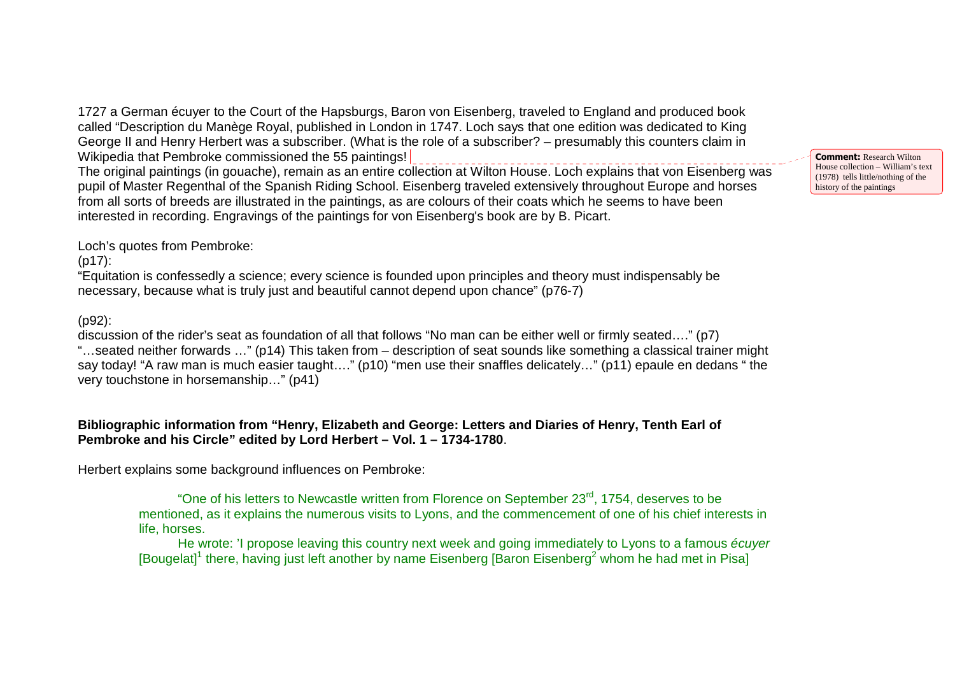1727 a German écuyer to the Court of the Hapsburgs, Baron von Eisenberg, traveled to England and produced book called "Description du Manège Royal, published in London in 1747. Loch says that one edition was dedicated to King George II and Henry Herbert was a subscriber. (What is the role of a subscriber? – presumably this counters claim in Wikipedia that Pembroke commissioned the 55 paintings!

 The original paintings (in gouache), remain as an entire collection at Wilton House. Loch explains that von Eisenberg was pupil of Master Regenthal of the Spanish Riding School. Eisenberg traveled extensively throughout Europe and horses from all sorts of breeds are illustrated in the paintings, as are colours of their coats which he seems to have been interested in recording. Engravings of the paintings for von Eisenberg's book are by B. Picart.

**Comment:** Research Wilton House collection – William's text (1978) tells little/nothing of the history of the paintings

Loch's quotes from Pembroke:

(p17):

 "Equitation is confessedly a science; every science is founded upon principles and theory must indispensably be necessary, because what is truly just and beautiful cannot depend upon chance" (p76-7)

(p92):

 discussion of the rider's seat as foundation of all that follows "No man can be either well or firmly seated…." (p7) "…seated neither forwards …" (p14) This taken from – description of seat sounds like something a classical trainer might say today! "A raw man is much easier taught…." (p10) "men use their snaffles delicately…" (p11) epaule en dedans " the very touchstone in horsemanship…" (p41)

# **Bibliographic information from "Henry, Elizabeth and George: Letters and Diaries of Henry, Tenth Earl of Pembroke and his Circle" edited by Lord Herbert – Vol. 1 – 1734-1780**.

Herbert explains some background influences on Pembroke:

"One of his letters to Newcastle written from Florence on September 23<sup>rd</sup>, 1754, deserves to be mentioned, as it explains the numerous visits to Lyons, and the commencement of one of his chief interests in life, horses.

He wrote: 'I propose leaving this country next week and going immediately to Lyons to a famous écuyer [Bougelat]<sup>1</sup> there, having just left another by name Eisenberg [Baron Eisenberg<sup>2</sup> whom he had met in Pisa]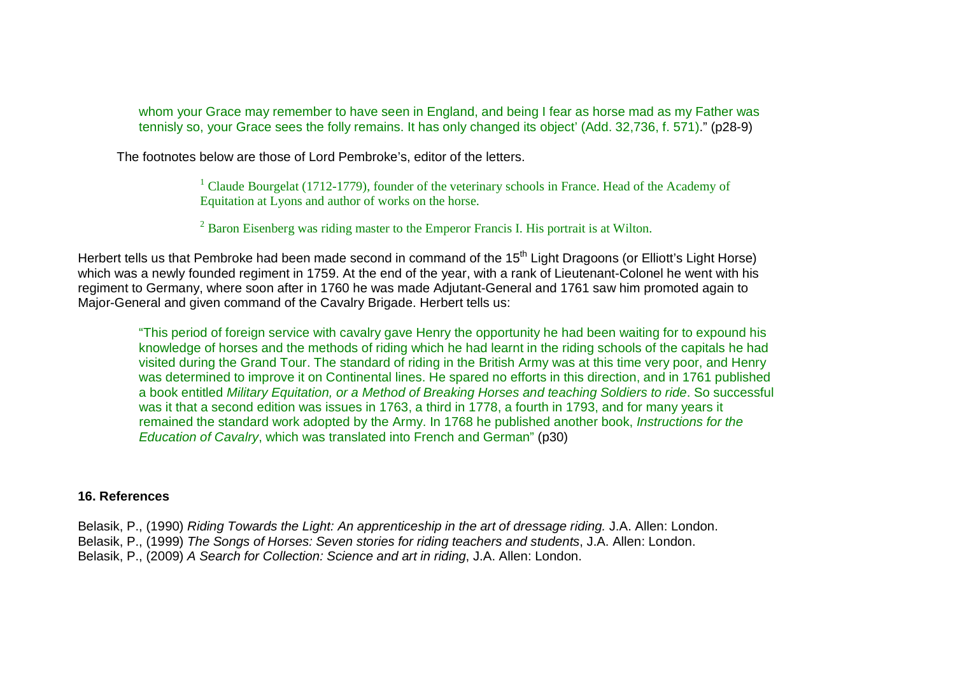whom your Grace may remember to have seen in England, and being I fear as horse mad as my Father was tennisly so, your Grace sees the folly remains. It has only changed its object' (Add. 32,736, f. 571)." (p28-9)

The footnotes below are those of Lord Pembroke's, editor of the letters.

<sup>1</sup> Claude Bourgelat (1712-1779), founder of the veterinary schools in France. Head of the Academy of Equitation at Lyons and author of works on the horse.

 $2^2$  Baron Eisenberg was riding master to the Emperor Francis I. His portrait is at Wilton.

Herbert tells us that Pembroke had been made second in command of the 15<sup>th</sup> Light Dragoons (or Elliott's Light Horse) which was a newly founded regiment in 1759. At the end of the year, with a rank of Lieutenant-Colonel he went with his regiment to Germany, where soon after in 1760 he was made Adjutant-General and 1761 saw him promoted again to Major-General and given command of the Cavalry Brigade. Herbert tells us:

"This period of foreign service with cavalry gave Henry the opportunity he had been waiting for to expound his knowledge of horses and the methods of riding which he had learnt in the riding schools of the capitals he had visited during the Grand Tour. The standard of riding in the British Army was at this time very poor, and Henry was determined to improve it on Continental lines. He spared no efforts in this direction, and in 1761 published a book entitled Military Equitation, or a Method of Breaking Horses and teaching Soldiers to ride. So successful was it that a second edition was issues in 1763, a third in 1778, a fourth in 1793, and for many years it remained the standard work adopted by the Army. In 1768 he published another book, Instructions for the Education of Cavalry, which was translated into French and German" (p30)

### **16. References**

Belasik, P., (1990) Riding Towards the Light: An apprenticeship in the art of dressage riding. J.A. Allen: London.

Belasik, P., (1999) The Songs of Horses: Seven stories for riding teachers and students, J.A. Allen: London.

Belasik, P., (2009) A Search for Collection: Science and art in riding, J.A. Allen: London.